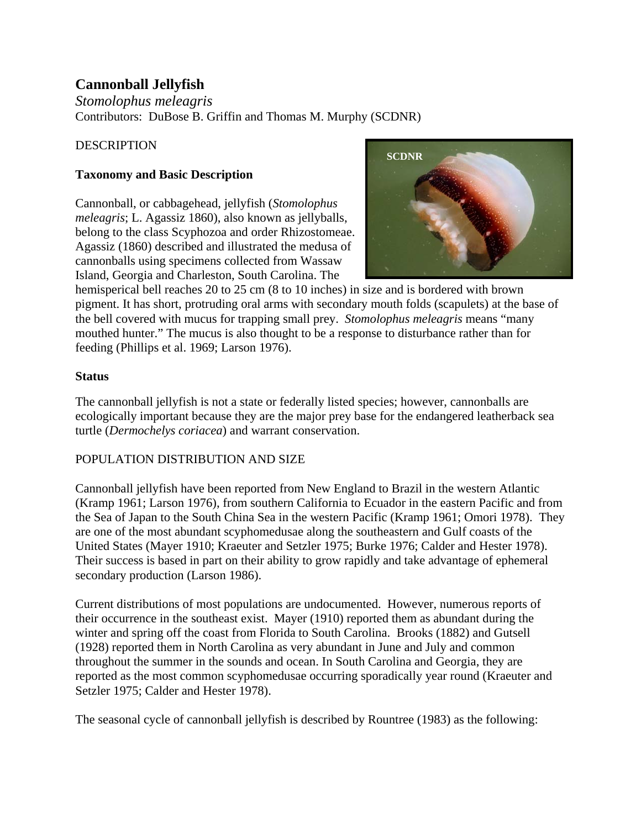# **Cannonball Jellyfish**

*Stomolophus meleagris* Contributors: DuBose B. Griffin and Thomas M. Murphy (SCDNR)

## **DESCRIPTION**

## **Taxonomy and Basic Description**

Cannonball, or cabbagehead, jellyfish (*Stomolophus meleagris*; L. Agassiz 1860), also known as jellyballs, belong to the class Scyphozoa and order Rhizostomeae. Agassiz (1860) described and illustrated the medusa of cannonballs using specimens collected from Wassaw Island, Georgia and Charleston, South Carolina. The



hemisperical bell reaches 20 to 25 cm (8 to 10 inches) in size and is bordered with brown pigment. It has short, protruding oral arms with secondary mouth folds (scapulets) at the base of the bell covered with mucus for trapping small prey. *Stomolophus meleagris* means "many mouthed hunter." The mucus is also thought to be a response to disturbance rather than for feeding (Phillips et al. 1969; Larson 1976).

### **Status**

The cannonball jellyfish is not a state or federally listed species; however, cannonballs are ecologically important because they are the major prey base for the endangered leatherback sea turtle (*Dermochelys coriacea*) and warrant conservation.

### POPULATION DISTRIBUTION AND SIZE

Cannonball jellyfish have been reported from New England to Brazil in the western Atlantic (Kramp 1961; Larson 1976), from southern California to Ecuador in the eastern Pacific and from the Sea of Japan to the South China Sea in the western Pacific (Kramp 1961; Omori 1978). They are one of the most abundant scyphomedusae along the southeastern and Gulf coasts of the United States (Mayer 1910; Kraeuter and Setzler 1975; Burke 1976; Calder and Hester 1978). Their success is based in part on their ability to grow rapidly and take advantage of ephemeral secondary production (Larson 1986).

Current distributions of most populations are undocumented. However, numerous reports of their occurrence in the southeast exist. Mayer (1910) reported them as abundant during the winter and spring off the coast from Florida to South Carolina. Brooks (1882) and Gutsell (1928) reported them in North Carolina as very abundant in June and July and common throughout the summer in the sounds and ocean. In South Carolina and Georgia, they are reported as the most common scyphomedusae occurring sporadically year round (Kraeuter and Setzler 1975; Calder and Hester 1978).

The seasonal cycle of cannonball jellyfish is described by Rountree (1983) as the following: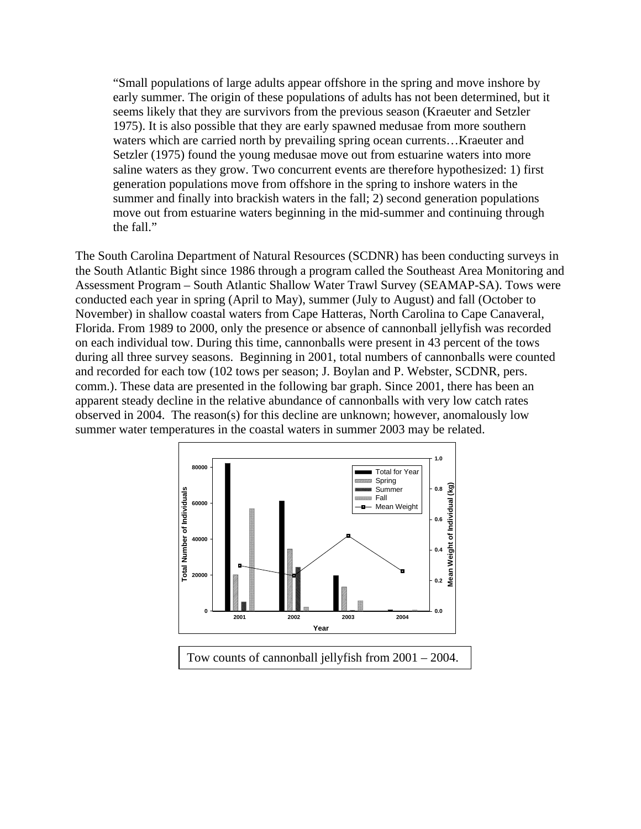"Small populations of large adults appear offshore in the spring and move inshore by early summer. The origin of these populations of adults has not been determined, but it seems likely that they are survivors from the previous season (Kraeuter and Setzler 1975). It is also possible that they are early spawned medusae from more southern waters which are carried north by prevailing spring ocean currents...Kraeuter and Setzler (1975) found the young medusae move out from estuarine waters into more saline waters as they grow. Two concurrent events are therefore hypothesized: 1) first generation populations move from offshore in the spring to inshore waters in the summer and finally into brackish waters in the fall; 2) second generation populations move out from estuarine waters beginning in the mid-summer and continuing through the fall."

The South Carolina Department of Natural Resources (SCDNR) has been conducting surveys in the South Atlantic Bight since 1986 through a program called the Southeast Area Monitoring and Assessment Program – South Atlantic Shallow Water Trawl Survey (SEAMAP-SA). Tows were conducted each year in spring (April to May), summer (July to August) and fall (October to November) in shallow coastal waters from Cape Hatteras, North Carolina to Cape Canaveral, Florida. From 1989 to 2000, only the presence or absence of cannonball jellyfish was recorded on each individual tow. During this time, cannonballs were present in 43 percent of the tows during all three survey seasons. Beginning in 2001, total numbers of cannonballs were counted and recorded for each tow (102 tows per season; J. Boylan and P. Webster, SCDNR, pers. comm.). These data are presented in the following bar graph. Since 2001, there has been an apparent steady decline in the relative abundance of cannonballs with very low catch rates observed in 2004. The reason(s) for this decline are unknown; however, anomalously low summer water temperatures in the coastal waters in summer 2003 may be related.

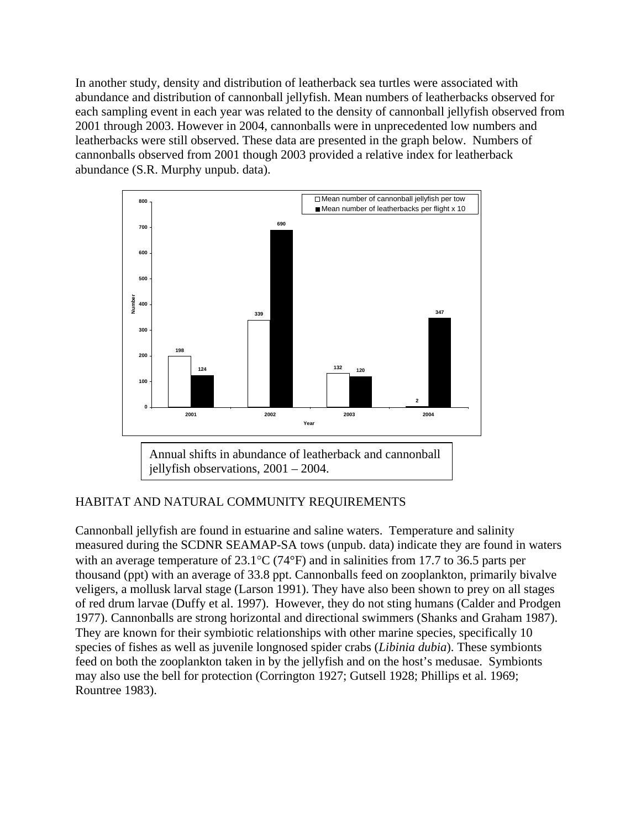In another study, density and distribution of leatherback sea turtles were associated with abundance and distribution of cannonball jellyfish. Mean numbers of leatherbacks observed for each sampling event in each year was related to the density of cannonball jellyfish observed from 2001 through 2003. However in 2004, cannonballs were in unprecedented low numbers and leatherbacks were still observed. These data are presented in the graph below. Numbers of cannonballs observed from 2001 though 2003 provided a relative index for leatherback abundance (S.R. Murphy unpub. data).



jellyfish observations, 2001 – 2004.

### HABITAT AND NATURAL COMMUNITY REQUIREMENTS

Cannonball jellyfish are found in estuarine and saline waters. Temperature and salinity measured during the SCDNR SEAMAP-SA tows (unpub. data) indicate they are found in waters with an average temperature of 23.1<sup>o</sup>C (74<sup>o</sup>F) and in salinities from 17.7 to 36.5 parts per thousand (ppt) with an average of 33.8 ppt. Cannonballs feed on zooplankton, primarily bivalve veligers, a mollusk larval stage (Larson 1991). They have also been shown to prey on all stages of red drum larvae (Duffy et al. 1997). However, they do not sting humans (Calder and Prodgen 1977). Cannonballs are strong horizontal and directional swimmers (Shanks and Graham 1987). They are known for their symbiotic relationships with other marine species, specifically 10 species of fishes as well as juvenile longnosed spider crabs (*Libinia dubia*). These symbionts feed on both the zooplankton taken in by the jellyfish and on the host's medusae. Symbionts may also use the bell for protection (Corrington 1927; Gutsell 1928; Phillips et al. 1969; Rountree 1983).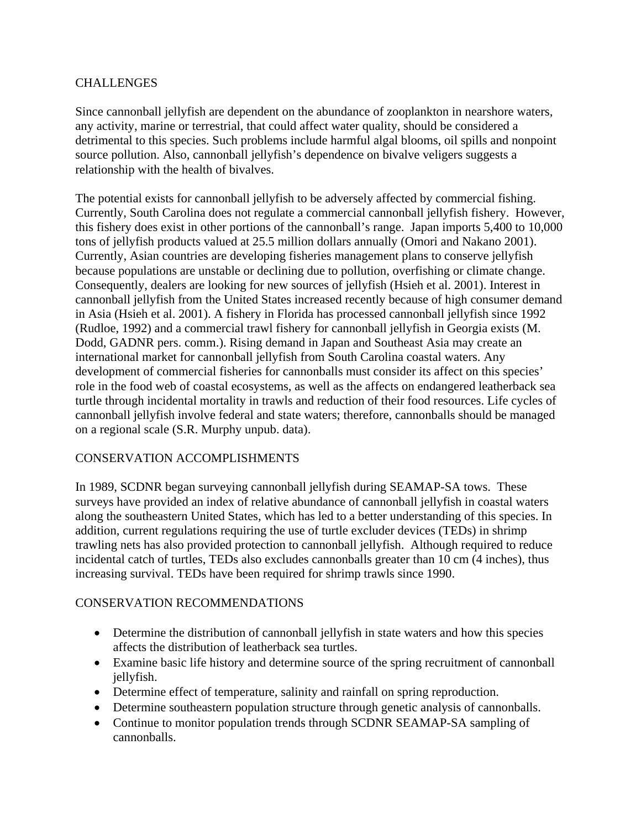#### **CHALLENGES**

Since cannonball jellyfish are dependent on the abundance of zooplankton in nearshore waters, any activity, marine or terrestrial, that could affect water quality, should be considered a detrimental to this species. Such problems include harmful algal blooms, oil spills and nonpoint source pollution. Also, cannonball jellyfish's dependence on bivalve veligers suggests a relationship with the health of bivalves.

The potential exists for cannonball jellyfish to be adversely affected by commercial fishing. Currently, South Carolina does not regulate a commercial cannonball jellyfish fishery. However, this fishery does exist in other portions of the cannonball's range. Japan imports 5,400 to 10,000 tons of jellyfish products valued at 25.5 million dollars annually (Omori and Nakano 2001). Currently, Asian countries are developing fisheries management plans to conserve jellyfish because populations are unstable or declining due to pollution, overfishing or climate change. Consequently, dealers are looking for new sources of jellyfish (Hsieh et al. 2001). Interest in cannonball jellyfish from the United States increased recently because of high consumer demand in Asia (Hsieh et al. 2001). A fishery in Florida has processed cannonball jellyfish since 1992 (Rudloe, 1992) and a commercial trawl fishery for cannonball jellyfish in Georgia exists (M. Dodd, GADNR pers. comm.). Rising demand in Japan and Southeast Asia may create an international market for cannonball jellyfish from South Carolina coastal waters. Any development of commercial fisheries for cannonballs must consider its affect on this species' role in the food web of coastal ecosystems, as well as the affects on endangered leatherback sea turtle through incidental mortality in trawls and reduction of their food resources. Life cycles of cannonball jellyfish involve federal and state waters; therefore, cannonballs should be managed on a regional scale (S.R. Murphy unpub. data).

### CONSERVATION ACCOMPLISHMENTS

In 1989, SCDNR began surveying cannonball jellyfish during SEAMAP-SA tows. These surveys have provided an index of relative abundance of cannonball jellyfish in coastal waters along the southeastern United States, which has led to a better understanding of this species. In addition, current regulations requiring the use of turtle excluder devices (TEDs) in shrimp trawling nets has also provided protection to cannonball jellyfish. Although required to reduce incidental catch of turtles, TEDs also excludes cannonballs greater than 10 cm (4 inches), thus increasing survival. TEDs have been required for shrimp trawls since 1990.

### CONSERVATION RECOMMENDATIONS

- Determine the distribution of cannonball jellyfish in state waters and how this species affects the distribution of leatherback sea turtles.
- Examine basic life history and determine source of the spring recruitment of cannonball jellyfish.
- Determine effect of temperature, salinity and rainfall on spring reproduction.
- Determine southeastern population structure through genetic analysis of cannonballs.
- Continue to monitor population trends through SCDNR SEAMAP-SA sampling of cannonballs.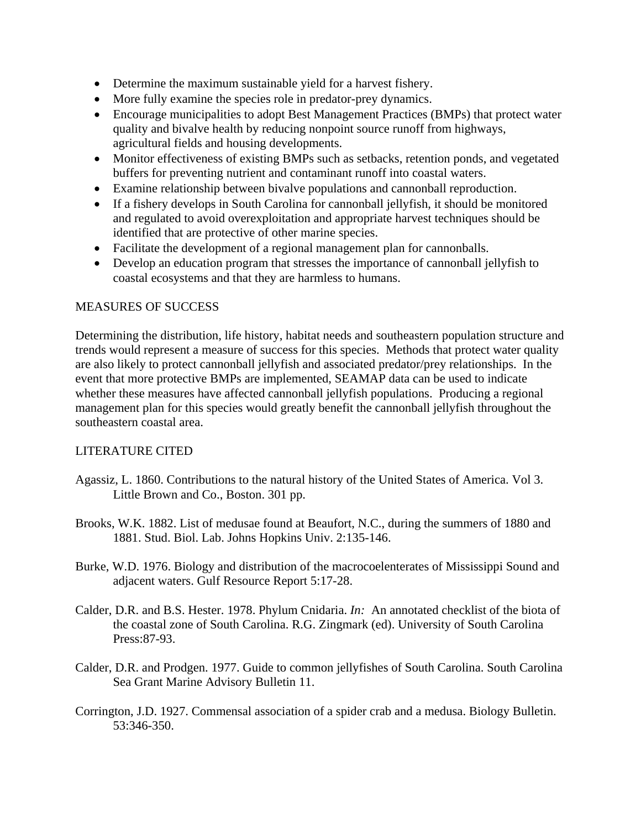- Determine the maximum sustainable yield for a harvest fishery.
- More fully examine the species role in predator-prey dynamics.
- Encourage municipalities to adopt Best Management Practices (BMPs) that protect water quality and bivalve health by reducing nonpoint source runoff from highways, agricultural fields and housing developments.
- Monitor effectiveness of existing BMPs such as setbacks, retention ponds, and vegetated buffers for preventing nutrient and contaminant runoff into coastal waters.
- Examine relationship between bivalve populations and cannonball reproduction.
- If a fishery develops in South Carolina for cannonball jellyfish, it should be monitored and regulated to avoid overexploitation and appropriate harvest techniques should be identified that are protective of other marine species.
- Facilitate the development of a regional management plan for cannonballs.
- Develop an education program that stresses the importance of cannonball jellyfish to coastal ecosystems and that they are harmless to humans.

#### MEASURES OF SUCCESS

Determining the distribution, life history, habitat needs and southeastern population structure and trends would represent a measure of success for this species. Methods that protect water quality are also likely to protect cannonball jellyfish and associated predator/prey relationships. In the event that more protective BMPs are implemented, SEAMAP data can be used to indicate whether these measures have affected cannonball jellyfish populations. Producing a regional management plan for this species would greatly benefit the cannonball jellyfish throughout the southeastern coastal area.

### LITERATURE CITED

- Agassiz, L. 1860. Contributions to the natural history of the United States of America. Vol 3. Little Brown and Co., Boston. 301 pp.
- Brooks, W.K. 1882. List of medusae found at Beaufort, N.C., during the summers of 1880 and 1881. Stud. Biol. Lab. Johns Hopkins Univ. 2:135-146.
- Burke, W.D. 1976. Biology and distribution of the macrocoelenterates of Mississippi Sound and adjacent waters. Gulf Resource Report 5:17-28.
- Calder, D.R. and B.S. Hester. 1978. Phylum Cnidaria. *In:* An annotated checklist of the biota of the coastal zone of South Carolina. R.G. Zingmark (ed). University of South Carolina Press:87-93.
- Calder, D.R. and Prodgen. 1977. Guide to common jellyfishes of South Carolina. South Carolina Sea Grant Marine Advisory Bulletin 11.
- Corrington, J.D. 1927. Commensal association of a spider crab and a medusa. Biology Bulletin. 53:346-350.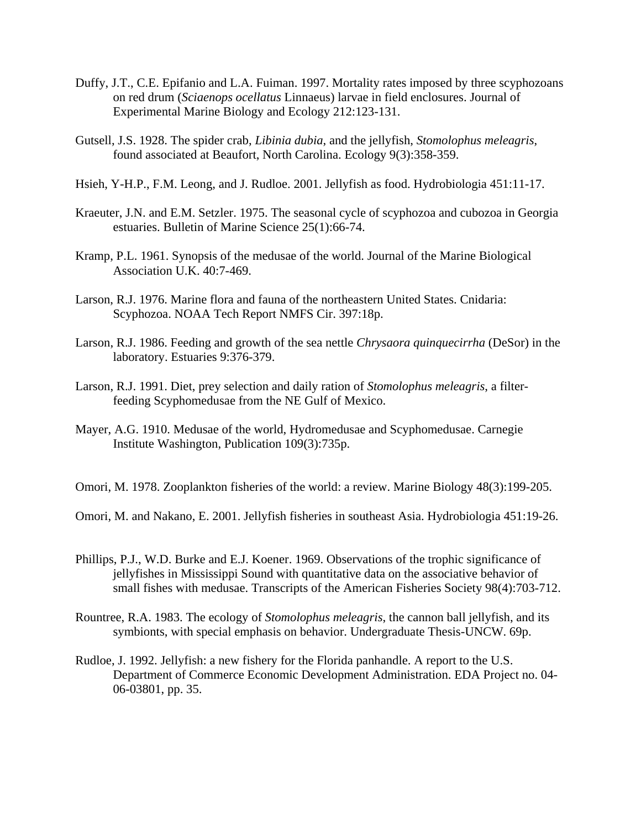- Duffy, J.T., C.E. Epifanio and L.A. Fuiman. 1997. Mortality rates imposed by three scyphozoans on red drum (*Sciaenops ocellatus* Linnaeus) larvae in field enclosures. Journal of Experimental Marine Biology and Ecology 212:123-131.
- Gutsell, J.S. 1928. The spider crab, *Libinia dubia*, and the jellyfish, *Stomolophus meleagris*, found associated at Beaufort, North Carolina. Ecology 9(3):358-359.
- Hsieh, Y-H.P., F.M. Leong, and J. Rudloe. 2001. Jellyfish as food. Hydrobiologia 451:11-17.
- Kraeuter, J.N. and E.M. Setzler. 1975. The seasonal cycle of scyphozoa and cubozoa in Georgia estuaries. Bulletin of Marine Science 25(1):66-74.
- Kramp, P.L. 1961. Synopsis of the medusae of the world. Journal of the Marine Biological Association U.K. 40:7-469.
- Larson, R.J. 1976. Marine flora and fauna of the northeastern United States. Cnidaria: Scyphozoa. NOAA Tech Report NMFS Cir. 397:18p.
- Larson, R.J. 1986. Feeding and growth of the sea nettle *Chrysaora quinquecirrha* (DeSor) in the laboratory. Estuaries 9:376-379.
- Larson, R.J. 1991. Diet, prey selection and daily ration of *Stomolophus meleagris*, a filterfeeding Scyphomedusae from the NE Gulf of Mexico.
- Mayer, A.G. 1910. Medusae of the world, Hydromedusae and Scyphomedusae. Carnegie Institute Washington, Publication 109(3):735p.
- Omori, M. 1978. Zooplankton fisheries of the world: a review. Marine Biology 48(3):199-205.
- Omori, M. and Nakano, E. 2001. Jellyfish fisheries in southeast Asia. Hydrobiologia 451:19-26.
- Phillips, P.J., W.D. Burke and E.J. Koener. 1969. Observations of the trophic significance of jellyfishes in Mississippi Sound with quantitative data on the associative behavior of small fishes with medusae. Transcripts of the American Fisheries Society 98(4):703-712.
- Rountree, R.A. 1983. The ecology of *Stomolophus meleagris*, the cannon ball jellyfish, and its symbionts, with special emphasis on behavior. Undergraduate Thesis-UNCW. 69p.
- Rudloe, J. 1992. Jellyfish: a new fishery for the Florida panhandle. A report to the U.S. Department of Commerce Economic Development Administration. EDA Project no. 04- 06-03801, pp. 35.